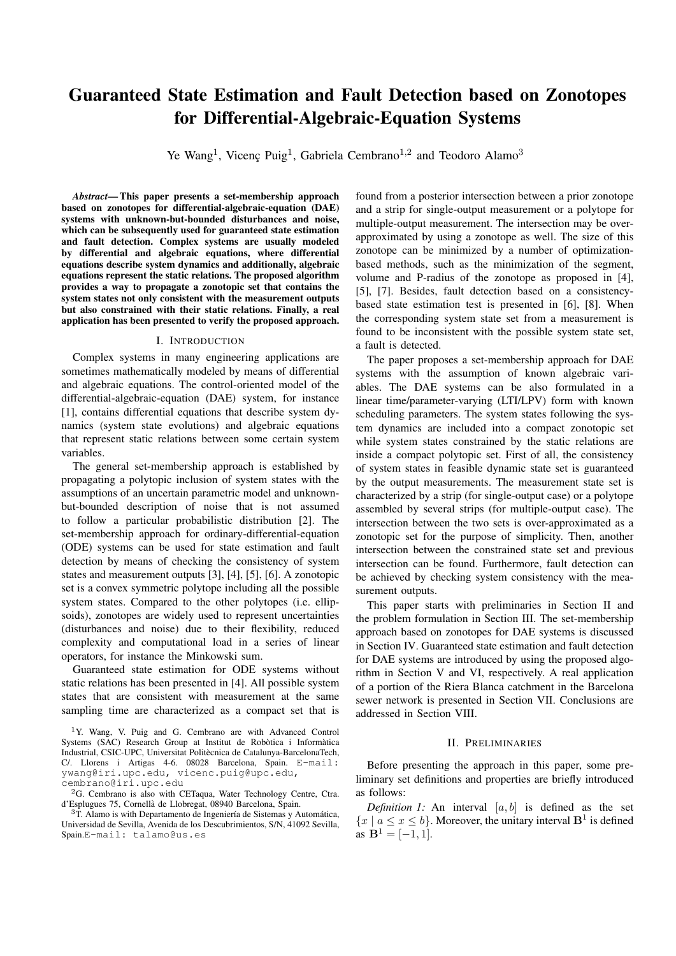# Guaranteed State Estimation and Fault Detection based on Zonotopes for Differential-Algebraic-Equation Systems

Ye Wang<sup>1</sup>, Vicenç Puig<sup>1</sup>, Gabriela Cembrano<sup>1,2</sup> and Teodoro Alamo<sup>3</sup>

*Abstract*— This paper presents a set-membership approach based on zonotopes for differential-algebraic-equation (DAE) systems with unknown-but-bounded disturbances and noise, which can be subsequently used for guaranteed state estimation and fault detection. Complex systems are usually modeled by differential and algebraic equations, where differential equations describe system dynamics and additionally, algebraic equations represent the static relations. The proposed algorithm provides a way to propagate a zonotopic set that contains the system states not only consistent with the measurement outputs but also constrained with their static relations. Finally, a real application has been presented to verify the proposed approach.

## I. INTRODUCTION

Complex systems in many engineering applications are sometimes mathematically modeled by means of differential and algebraic equations. The control-oriented model of the differential-algebraic-equation (DAE) system, for instance [1], contains differential equations that describe system dynamics (system state evolutions) and algebraic equations that represent static relations between some certain system variables.

The general set-membership approach is established by propagating a polytopic inclusion of system states with the assumptions of an uncertain parametric model and unknownbut-bounded description of noise that is not assumed to follow a particular probabilistic distribution [2]. The set-membership approach for ordinary-differential-equation (ODE) systems can be used for state estimation and fault detection by means of checking the consistency of system states and measurement outputs [3], [4], [5], [6]. A zonotopic set is a convex symmetric polytope including all the possible system states. Compared to the other polytopes (i.e. ellipsoids), zonotopes are widely used to represent uncertainties (disturbances and noise) due to their flexibility, reduced complexity and computational load in a series of linear operators, for instance the Minkowski sum.

Guaranteed state estimation for ODE systems without static relations has been presented in [4]. All possible system states that are consistent with measurement at the same sampling time are characterized as a compact set that is

 $3T$ . Alamo is with Departamento de Ingeniería de Sistemas y Automática, Universidad de Sevilla, Avenida de los Descubrimientos, S/N, 41092 Sevilla, Spain.E-mail: talamo@us.es

found from a posterior intersection between a prior zonotope and a strip for single-output measurement or a polytope for multiple-output measurement. The intersection may be overapproximated by using a zonotope as well. The size of this zonotope can be minimized by a number of optimizationbased methods, such as the minimization of the segment, volume and P-radius of the zonotope as proposed in [4], [5], [7]. Besides, fault detection based on a consistencybased state estimation test is presented in [6], [8]. When the corresponding system state set from a measurement is found to be inconsistent with the possible system state set, a fault is detected.

The paper proposes a set-membership approach for DAE systems with the assumption of known algebraic variables. The DAE systems can be also formulated in a linear time/parameter-varying (LTI/LPV) form with known scheduling parameters. The system states following the system dynamics are included into a compact zonotopic set while system states constrained by the static relations are inside a compact polytopic set. First of all, the consistency of system states in feasible dynamic state set is guaranteed by the output measurements. The measurement state set is characterized by a strip (for single-output case) or a polytope assembled by several strips (for multiple-output case). The intersection between the two sets is over-approximated as a zonotopic set for the purpose of simplicity. Then, another intersection between the constrained state set and previous intersection can be found. Furthermore, fault detection can be achieved by checking system consistency with the measurement outputs.

This paper starts with preliminaries in Section II and the problem formulation in Section III. The set-membership approach based on zonotopes for DAE systems is discussed in Section IV. Guaranteed state estimation and fault detection for DAE systems are introduced by using the proposed algorithm in Section V and VI, respectively. A real application of a portion of the Riera Blanca catchment in the Barcelona sewer network is presented in Section VII. Conclusions are addressed in Section VIII.

### II. PRELIMINARIES

Before presenting the approach in this paper, some preliminary set definitions and properties are briefly introduced as follows:

*Definition 1:* An interval  $[a, b]$  is defined as the set  ${x \mid a \leq x \leq b}$ . Moreover, the unitary interval  $\mathbf{B}^1$  is defined as  $\mathbf{B}^1 = \begin{bmatrix} -1 \\ 1 \end{bmatrix}$ .

<sup>1</sup>Y. Wang, V. Puig and G. Cembrano are with Advanced Control Systems (SAC) Research Group at Institut de Robòtica i Informàtica Industrial, CSIC-UPC, Universitat Politècnica de Catalunya-BarcelonaTech, C/. Llorens i Artigas 4-6. 08028 Barcelona, Spain. E-mail: ywang@iri.upc.edu, vicenc.puig@upc.edu, cembrano@iri.upc.edu

 ${}^{2}$ G. Cembrano is also with CETaqua, Water Technology Centre, Ctra. d'Esplugues 75, Cornella de Llobregat, 08940 Barcelona, Spain. `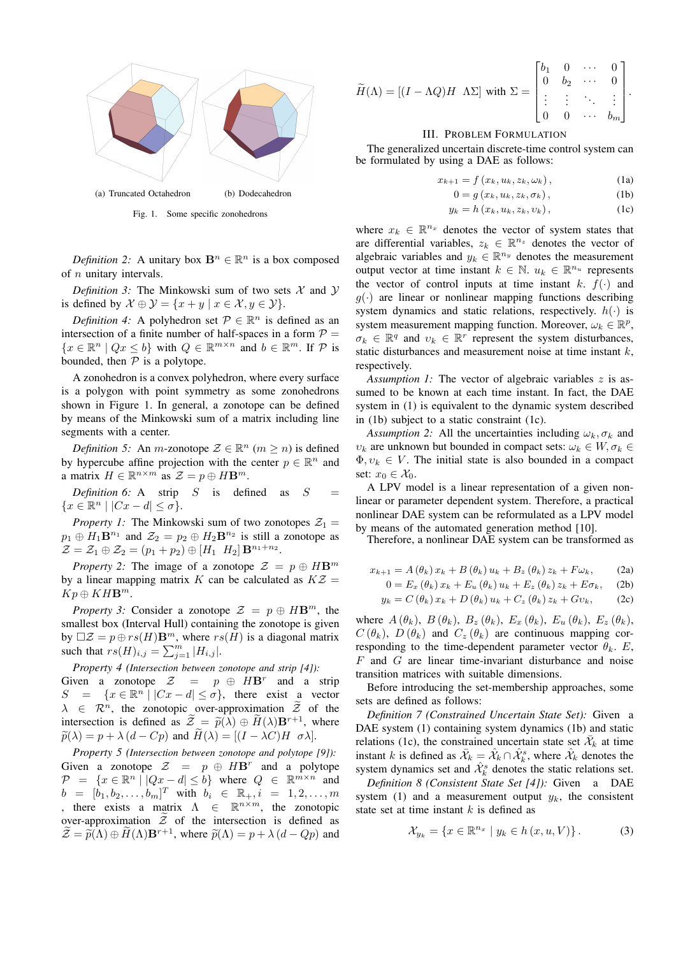

Fig. 1. Some specific zonohedrons

*Definition 2:* A unitary box  $\mathbf{B}^n \in \mathbb{R}^n$  is a box composed of n unitary intervals.

*Definition 3:* The Minkowski sum of two sets  $X$  and  $Y$ is defined by  $\mathcal{X} \oplus \mathcal{Y} = \{x + y \mid x \in \mathcal{X}, y \in \mathcal{Y}\}.$ 

*Definition 4:* A polyhedron set  $P \in \mathbb{R}^n$  is defined as an intersection of a finite number of half-spaces in a form  $P =$  ${x \in \mathbb{R}^n \mid Qx \leq b}$  with  $Q \in \mathbb{R}^{m \times n}$  and  $b \in \mathbb{R}^m$ . If  $P$  is bounded, then  $P$  is a polytope.

A zonohedron is a convex polyhedron, where every surface is a polygon with point symmetry as some zonohedrons shown in Figure 1. In general, a zonotope can be defined by means of the Minkowski sum of a matrix including line segments with a center.

*Definition 5:* An *m*-zonotope  $\mathcal{Z} \in \mathbb{R}^n$  ( $m \ge n$ ) is defined by hypercube affine projection with the center  $p \in \mathbb{R}^n$  and a matrix  $H \in \mathbb{R}^{n \times m}$  as  $\mathcal{Z} = p \oplus H\mathbf{B}^m$ .

*Definition 6:* A strip  $S$  is defined as  $S$  ${x \in \mathbb{R}^n \mid |Cx - d| \leq \sigma}.$ 

*Property 1:* The Minkowski sum of two zonotopes  $Z_1$  =  $p_1 \oplus H_1 \mathbf{B}^{n_1}$  and  $\mathcal{Z}_2 = p_2 \oplus H_2 \mathbf{B}^{n_2}$  is still a zonotope as  $\mathcal{Z} = \mathcal{Z}_1 \oplus \mathcal{Z}_2 = (p_1 + p_2) \oplus [H_1 \ H_2] \mathbf{B}^{n_1 + n_2}.$ 

*Property 2:* The image of a zonotope  $\mathcal{Z} = p \oplus H\mathbf{B}^m$ by a linear mapping matrix K can be calculated as  $KZ =$  $Kp \oplus KHB^m$ .

*Property 3:* Consider a zonotope  $\mathcal{Z} = p \oplus H\mathbf{B}^m$ , the smallest box (Interval Hull) containing the zonotope is given by  $\Box Z = p \oplus rs(H)$ **B**<sup>*m*</sup>, where  $rs(H)$  is a diagonal matrix such that  $rs(H)_{i,j} = \sum_{j=1}^m |H_{i,j}|$ .

*Property 4 (Intersection between zonotope and strip [4]):* Given a zonotope  $\mathcal{Z} = p \oplus HB^r$  and a strip  $S = \{x \in \mathbb{R}^n \mid |Cx - d| \le \sigma\}$ , there exist a vector  $\lambda \in \mathcal{R}^n$ , the zonotopic over-approximation  $\widetilde{\mathcal{Z}}$  of the intersection is defined as  $\tilde{\mathcal{Z}} = \tilde{p}(\lambda) \oplus \tilde{H}(\lambda)B^{r+1}$ , where  $\widetilde{p}(\lambda) = p + \lambda (d - Cp)$  and  $H(\lambda) = [(I - \lambda C)H \ \sigma \lambda].$ 

*Property 5 (Intersection between zonotope and polytope [9]):* Given a zonotope  $Z = p \oplus H\mathbf{B}^r$  and a polytope  $\mathcal{P} = \{x \in \mathbb{R}^n \mid |Qx - d| \leq b\}$  where  $Q \in \mathbb{R}^{m \times n}$  and  $b = [\dot{b}_1, b_2, \dots, b_m]^T$  with  $b_i \in \mathbb{R}_+, i = 1, 2, \dots, m$ , there exists a matrix  $\Lambda \in \mathbb{R}^{n \times m}$ , the zonotopic over-approximation  $\widetilde{Z}$  of the intersection is defined as  $\widetilde{\mathcal{Z}} = \widetilde{p}(\Lambda) \oplus \widetilde{H}(\Lambda) \mathbf{B}^{r+1}$ , where  $\widetilde{p}(\Lambda) = p + \lambda (d - Qp)$  and

$$
\widetilde{H}(\Lambda) = \begin{bmatrix} (I - \Lambda Q)H & \Lambda \Sigma \end{bmatrix} \text{ with } \Sigma = \begin{bmatrix} b_1 & 0 & \cdots & 0 \\ 0 & b_2 & \cdots & 0 \\ \vdots & \vdots & \ddots & \vdots \\ 0 & 0 & \cdots & b_m \end{bmatrix}.
$$

# III. PROBLEM FORMULATION

The generalized uncertain discrete-time control system can be formulated by using a DAE as follows:

$$
x_{k+1} = f(x_k, u_k, z_k, \omega_k), \qquad (1a)
$$

$$
0 = g(x_k, u_k, z_k, \sigma_k), \qquad (1b)
$$

$$
y_k = h(x_k, u_k, z_k, v_k), \qquad (1c)
$$

where  $x_k \in \mathbb{R}^{n_x}$  denotes the vector of system states that are differential variables,  $z_k \in \mathbb{R}^{n_z}$  denotes the vector of algebraic variables and  $y_k \in \mathbb{R}^{n_y}$  denotes the measurement output vector at time instant  $k \in \mathbb{N}$ .  $u_k \in \mathbb{R}^{n_u}$  represents the vector of control inputs at time instant k.  $f(\cdot)$  and  $g(\cdot)$  are linear or nonlinear mapping functions describing system dynamics and static relations, respectively.  $h(\cdot)$  is system measurement mapping function. Moreover,  $\omega_k \in \mathbb{R}^p$ ,  $\sigma_k \in \mathbb{R}^q$  and  $v_k \in \mathbb{R}^r$  represent the system disturbances, static disturbances and measurement noise at time instant  $k$ , respectively.

*Assumption 1:* The vector of algebraic variables z is assumed to be known at each time instant. In fact, the DAE system in (1) is equivalent to the dynamic system described in (1b) subject to a static constraint (1c).

*Assumption 2:* All the uncertainties including  $\omega_k$ ,  $\sigma_k$  and  $v_k$  are unknown but bounded in compact sets:  $\omega_k \in W, \sigma_k \in$  $\Phi, v_k \in V$ . The initial state is also bounded in a compact set:  $x_0 \in \mathcal{X}_0$ .

A LPV model is a linear representation of a given nonlinear or parameter dependent system. Therefore, a practical nonlinear DAE system can be reformulated as a LPV model by means of the automated generation method [10].

Therefore, a nonlinear DAE system can be transformed as

$$
x_{k+1} = A(\theta_k) x_k + B(\theta_k) u_k + B_z(\theta_k) z_k + F\omega_k, \qquad (2a)
$$

$$
0 = E_x (\theta_k) x_k + E_u (\theta_k) u_k + E_z (\theta_k) z_k + E \sigma_k, \quad (2b)
$$

$$
y_k = C(\theta_k) x_k + D(\theta_k) u_k + C_z(\theta_k) z_k + Gv_k, \qquad (2c)
$$

where  $A(\theta_k)$ ,  $B(\theta_k)$ ,  $B_z(\theta_k)$ ,  $E_x(\theta_k)$ ,  $E_u(\theta_k)$ ,  $E_z(\theta_k)$ ,  $C(\theta_k)$ ,  $D(\theta_k)$  and  $C_z(\theta_k)$  are continuous mapping corresponding to the time-dependent parameter vector  $\theta_k$ . E,  $F$  and  $G$  are linear time-invariant disturbance and noise transition matrices with suitable dimensions.

Before introducing the set-membership approaches, some sets are defined as follows:

*Definition 7 (Constrained Uncertain State Set):* Given a DAE system (1) containing system dynamics (1b) and static relations (1c), the constrained uncertain state set  $\bar{\mathcal{X}}_k$  at time instant k is defined as  $\bar{\mathcal{X}}_k = \hat{\mathcal{X}}_k \cap \hat{\mathcal{X}}_k^s$ , where  $\hat{\mathcal{X}}_k$  denotes the system dynamics set and  $\hat{\mathcal{X}}_k^s$  denotes the static relations set.

*Definition 8 (Consistent State Set [4]):* Given a DAE system (1) and a measurement output  $y_k$ , the consistent state set at time instant  $k$  is defined as

$$
\mathcal{X}_{y_k} = \{ x \in \mathbb{R}^{n_x} \mid y_k \in h(x, u, V) \}.
$$
 (3)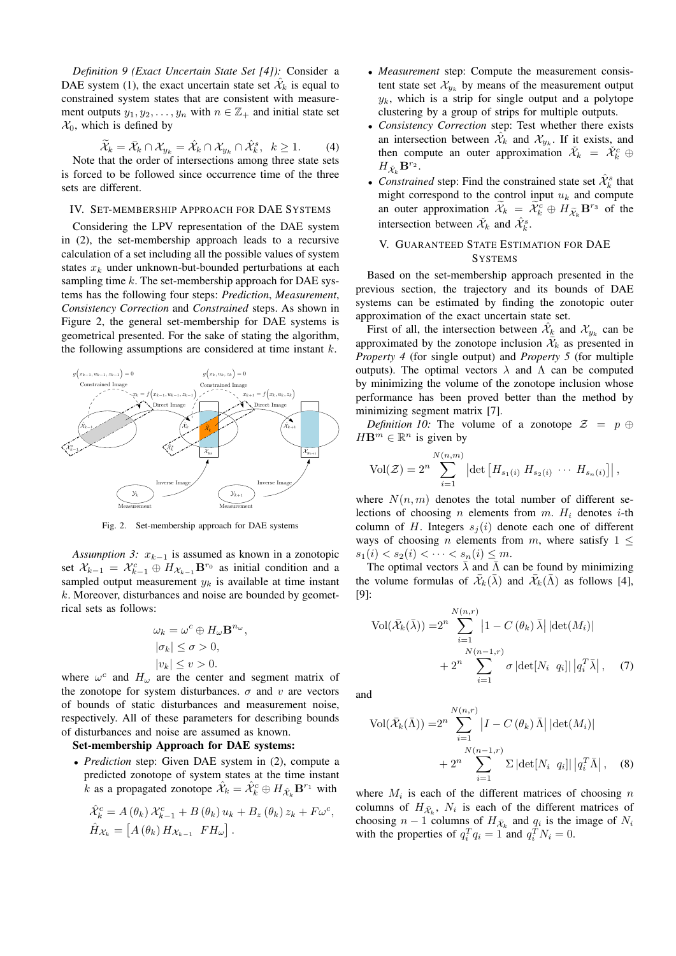*Definition 9 (Exact Uncertain State Set [4]):* Consider a DAE system (1), the exact uncertain state set  $\hat{\mathcal{X}}_k$  is equal to constrained system states that are consistent with measurement outputs  $y_1, y_2, \ldots, y_n$  with  $n \in \mathbb{Z}_+$  and initial state set  $\mathcal{X}_0$ , which is defined by

$$
\widetilde{\mathcal{X}}_k = \bar{\mathcal{X}}_k \cap \mathcal{X}_{y_k} = \hat{\mathcal{X}}_k \cap \mathcal{X}_{y_k} \cap \hat{\mathcal{X}}_k^s, \ \ k \ge 1. \tag{4}
$$

Note that the order of intersections among three state sets is forced to be followed since occurrence time of the three sets are different.

#### IV. SET-MEMBERSHIP APPROACH FOR DAE SYSTEMS

Considering the LPV representation of the DAE system in (2), the set-membership approach leads to a recursive calculation of a set including all the possible values of system states  $x_k$  under unknown-but-bounded perturbations at each sampling time  $k$ . The set-membership approach for DAE systems has the following four steps: *Prediction*, *Measurement*, *Consistency Correction* and *Constrained* steps. As shown in Figure 2, the general set-membership for DAE systems is geometrical presented. For the sake of stating the algorithm, the following assumptions are considered at time instant  $k$ .



Fig. 2. Set-membership approach for DAE systems

*Assumption 3:*  $x_{k-1}$  is assumed as known in a zonotopic set  $\mathcal{X}_{k-1} = \mathcal{X}_{k-1}^c \oplus H_{\mathcal{X}_{k-1}} \mathbf{B}^{r_0}$  as initial condition and a sampled output measurement  $y_k$  is available at time instant  $k$ . Moreover, disturbances and noise are bounded by geometrical sets as follows:

$$
\omega_k = \omega^c \oplus H_{\omega} \mathbf{B}^{n_{\omega}},
$$
  
\n
$$
|\sigma_k| \leq \sigma > 0,
$$
  
\n
$$
|v_k| \leq v > 0.
$$

where  $\omega^c$  and  $H_{\omega}$  are the center and segment matrix of the zonotope for system disturbances.  $\sigma$  and v are vectors of bounds of static disturbances and measurement noise, respectively. All of these parameters for describing bounds of disturbances and noise are assumed as known.

## Set-membership Approach for DAE systems:

• *Prediction* step: Given DAE system in (2), compute a predicted zonotope of system states at the time instant  $\hat{k}$  as a propagated zonotope  $\hat{\mathcal{X}}_k = \hat{\mathcal{X}}_k^c \oplus H_{\hat{\mathcal{X}}_k} \mathbf{B}^{r_1}$  with

$$
\hat{\mathcal{X}}_k^c = A(\theta_k) \mathcal{X}_{k-1}^c + B(\theta_k) u_k + B_z(\theta_k) z_k + F\omega^c,
$$
  

$$
\hat{H}_{\mathcal{X}_k} = [A(\theta_k) H_{\mathcal{X}_{k-1}} F H_\omega].
$$

- *Measurement* step: Compute the measurement consistent state set  $\mathcal{X}_{y_k}$  by means of the measurement output  $y_k$ , which is a strip for single output and a polytope clustering by a group of strips for multiple outputs.
- *Consistency Correction* step: Test whether there exists an intersection between  $\mathcal{X}_k$  and  $\mathcal{X}_{y_k}$ . If it exists, and then compute an outer approximation  $\check{\mathcal{X}}_k = \check{\mathcal{X}}_k^c \oplus$  $H_{\check{\mathcal{X}}_k}\mathbf{B}^{r_2}.$
- *Constrained* step: Find the constrained state set  $\hat{\mathcal{X}}_k^s$  that might correspond to the control input  $u_k$  and compute an outer approximation  $\mathcal{X}_k = \mathcal{X}_k^c \oplus H_{\mathcal{X}_k} \mathbf{B}^{r_3}$  of the intersection between  $\check{\mathcal{X}}_k$  and  $\hat{\mathcal{X}}_k^s$ .

# V. GUARANTEED STATE ESTIMATION FOR DAE **SYSTEMS**

Based on the set-membership approach presented in the previous section, the trajectory and its bounds of DAE systems can be estimated by finding the zonotopic outer approximation of the exact uncertain state set.

First of all, the intersection between  $\hat{\mathcal{X}}_{\underline{k}}$  and  $\mathcal{X}_{y_k}$  can be approximated by the zonotope inclusion  $\bar{\mathcal{X}}_k$  as presented in *Property 4* (for single output) and *Property 5* (for multiple outputs). The optimal vectors  $\lambda$  and  $\Lambda$  can be computed by minimizing the volume of the zonotope inclusion whose performance has been proved better than the method by minimizing segment matrix [7].

*Definition 10:* The volume of a zonotope  $\mathcal{Z} = p \oplus$  $H\mathbf{B}^m \in \mathbb{R}^n$  is given by

$$
Vol(\mathcal{Z}) = 2^{n} \sum_{i=1}^{N(n,m)} \left| \det \left[ H_{s_1(i)} \ H_{s_2(i)} \ \cdots \ H_{s_n(i)} \right] \right|,
$$

where  $N(n, m)$  denotes the total number of different selections of choosing *n* elements from  $m$ .  $H_i$  denotes *i*-th column of H. Integers  $s_j(i)$  denote each one of different ways of choosing *n* elements from *m*, where satisfy  $1 \leq$  $s_1(i) < s_2(i) < \cdots < s_n(i) \leq m$ .

The optimal vectors  $\bar{\lambda}$  and  $\bar{\Lambda}$  can be found by minimizing the volume formulas of  $\bar{\mathcal{X}}_k(\bar{\lambda})$  and  $\bar{\mathcal{X}}_k(\bar{\Lambda})$  as follows [4], [9]:

$$
\text{Vol}(\bar{\mathcal{X}}_k(\bar{\lambda})) = 2^n \sum_{i=1}^{N(n,r)} \left| 1 - C(\theta_k) \,\bar{\lambda} \right| |\det(M_i)| + 2^n \sum_{i=1}^{N(n-1,r)} \sigma |\det[N_i \ q_i]| \left| q_i^T \bar{\lambda} \right|, \tag{7}
$$

and

$$
\text{Vol}(\bar{\mathcal{X}}_k(\bar{\Lambda})) = 2^n \sum_{i=1}^{N(n,r)} \left| I - C(\theta_k) \,\bar{\Lambda} \right| |\det(M_i)| + 2^n \sum_{i=1}^{N(n-1,r)} \Sigma |\det[N_i \ q_i]| \left| q_i^T \bar{\Lambda} \right|, \quad (8)
$$

where  $M_i$  is each of the different matrices of choosing n columns of  $H_{\bar{\mathcal{X}}_k}$ ,  $N_i$  is each of the different matrices of choosing  $n - 1$  columns of  $H_{\bar{\mathcal{X}}_k}$  and  $q_i$  is the image of  $N_i$ with the properties of  $q_i^T q_i = 1$  and  $q_i^T N_i = 0$ .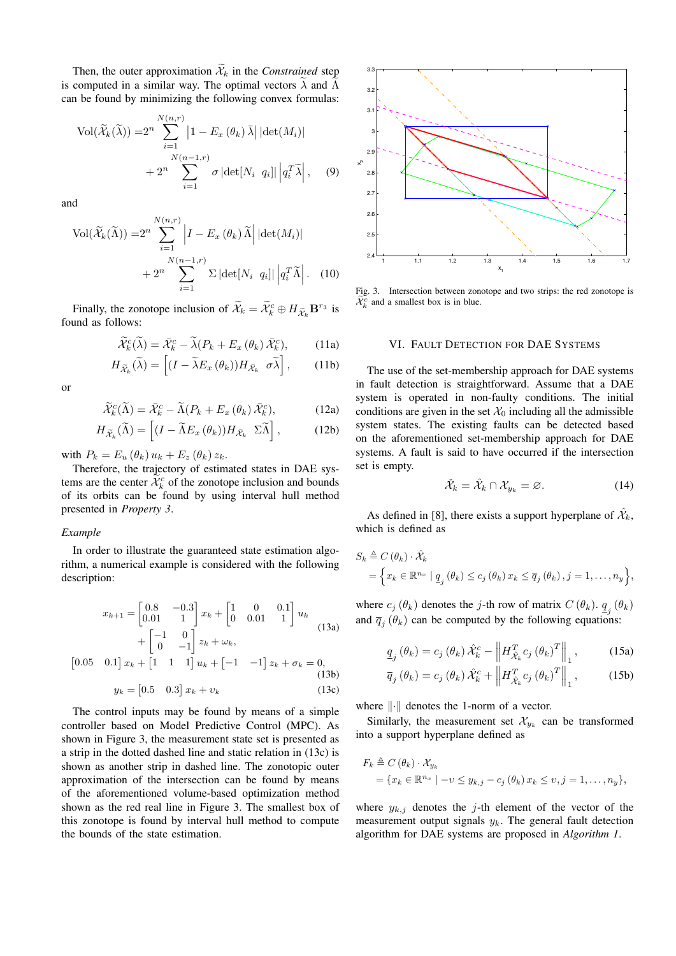Then, the outer approximation  $\widetilde{\mathcal{X}}_k$  in the *Constrained* step is computed in a similar way. The optimal vectors  $\lambda$  and  $\Lambda$ can be found by minimizing the following convex formulas:

$$
\text{Vol}(\widetilde{\mathcal{X}}_k(\widetilde{\lambda})) = 2^n \sum_{i=1}^{N(n,r)} \left| 1 - E_x(\theta_k) \,\overline{\lambda} \right| \left| \det(M_i) \right|
$$

$$
+ 2^n \sum_{i=1}^{N(n-1,r)} \sigma \left| \det(N_i \, q_i) \right| \left| q_i^T \widetilde{\lambda} \right|, \quad (9)
$$

and

$$
\text{Vol}(\widetilde{\mathcal{X}}_k(\widetilde{\Lambda})) = 2^n \sum_{i=1}^{N(n,r)} \left| I - E_x \left( \theta_k \right) \widetilde{\Lambda} \right| \left| \det(M_i) \right|
$$

$$
+ 2^n \sum_{i=1}^{N(n-1,r)} \Sigma \left| \det[N_i \ q_i] \right| \left| q_i^T \widetilde{\Lambda} \right|.
$$
 (10)

Finally, the zonotope inclusion of  $\mathcal{X}_k = \mathcal{X}_k^c \oplus H_{\mathcal{X}_k} \mathbf{B}^{r_3}$  is found as follows:

$$
\widetilde{\mathcal{X}}_k^c(\widetilde{\lambda}) = \bar{\mathcal{X}}_k^c - \widetilde{\lambda}(P_k + E_x(\theta_k) \bar{\mathcal{X}}_k^c), \tag{11a}
$$

$$
H_{\widetilde{\mathcal{X}}_k}(\widetilde{\lambda}) = \left[ (I - \widetilde{\lambda} E_x \left( \theta_k \right)) H_{\widetilde{\mathcal{X}}_k} \sigma \widetilde{\lambda} \right], \qquad (11b)
$$

or

$$
\widetilde{\mathcal{X}}_k^c(\widetilde{\Lambda}) = \bar{\mathcal{X}}_k^c - \widetilde{\Lambda}(P_k + E_x(\theta_k))\bar{\mathcal{X}}_k^c),\tag{12a}
$$

$$
H_{\widetilde{\mathcal{X}}_k}(\widetilde{\Lambda}) = \left[ (I - \widetilde{\Lambda} E_x \left( \theta_k \right)) H_{\widetilde{\mathcal{X}}_k} \Sigma \widetilde{\Lambda} \right],\tag{12b}
$$

with  $P_k = E_u (\theta_k) u_k + E_z (\theta_k) z_k$ .

Therefore, the trajectory of estimated states in DAE systems are the center  $\tilde{\mathcal{X}}_k^c$  of the zonotope inclusion and bounds of its orbits can be found by using interval hull method presented in *Property 3*.

## *Example*

In order to illustrate the guaranteed state estimation algorithm, a numerical example is considered with the following description:

$$
x_{k+1} = \begin{bmatrix} 0.8 & -0.3 \\ 0.01 & 1 \end{bmatrix} x_k + \begin{bmatrix} 1 & 0 & 0.1 \\ 0 & 0.01 & 1 \end{bmatrix} u_k
$$
  
+ 
$$
\begin{bmatrix} -1 & 0 \\ 0 & -1 \end{bmatrix} z_k + \omega_k,
$$
  
[0.05 0.1]  $x_k + \begin{bmatrix} 1 & 1 & 1 \end{bmatrix} u_k + \begin{bmatrix} -1 & -1 \end{bmatrix} z_k + \sigma_k = 0,$   
(13b)  
 $y_k = \begin{bmatrix} 0.5 & 0.3 \end{bmatrix} x_k + v_k$  (13c)

The control inputs may be found by means of a simple controller based on Model Predictive Control (MPC). As shown in Figure 3, the measurement state set is presented as a strip in the dotted dashed line and static relation in (13c) is shown as another strip in dashed line. The zonotopic outer approximation of the intersection can be found by means of the aforementioned volume-based optimization method shown as the red real line in Figure 3. The smallest box of this zonotope is found by interval hull method to compute the bounds of the state estimation.



Fig. 3. Intersection between zonotope and two strips: the red zonotope is  $\widetilde{\mathcal{X}}_k^c$  and a smallest box is in blue.

## VI. FAULT DETECTION FOR DAE SYSTEMS

The use of the set-membership approach for DAE systems in fault detection is straightforward. Assume that a DAE system is operated in non-faulty conditions. The initial conditions are given in the set  $\mathcal{X}_0$  including all the admissible system states. The existing faults can be detected based on the aforementioned set-membership approach for DAE systems. A fault is said to have occurred if the intersection set is empty.

$$
\tilde{\mathcal{X}}_k = \hat{\mathcal{X}}_k \cap \mathcal{X}_{y_k} = \varnothing. \tag{14}
$$

As defined in [8], there exists a support hyperplane of  $\hat{\mathcal{X}}_k$ , which is defined as

$$
S_k \triangleq C(\theta_k) \cdot \hat{\mathcal{X}}_k
$$
  
=  $\left\{ x_k \in \mathbb{R}^{n_x} \mid \underline{q}_j(\theta_k) \leq c_j(\theta_k) \, x_k \leq \overline{q}_j(\theta_k), j = 1, \dots, n_y \right\},$ 

where  $c_j(\theta_k)$  denotes the j-th row of matrix  $C(\theta_k)$ .  $\underline{q}_j(\theta_k)$ and  $\overline{q}_j(\theta_k)$  can be computed by the following equations:

$$
\underline{q}_{j}(\theta_{k}) = c_{j}(\theta_{k}) \hat{\mathcal{X}}_{k}^{c} - \left\| H_{\hat{\mathcal{X}}_{k}}^{T} c_{j}(\theta_{k})^{T} \right\|_{1}, \quad (15a)
$$

$$
\overline{q}_{j}(\theta_{k}) = c_{j}(\theta_{k}) \hat{\mathcal{X}}_{k}^{c} + \left\| H_{\hat{\mathcal{X}}_{k}}^{T} c_{j}(\theta_{k})^{T} \right\|_{1}, \qquad (15b)
$$

where  $\|\cdot\|$  denotes the 1-norm of a vector.

Similarly, the measurement set  $\mathcal{X}_{y_k}$  can be transformed into a support hyperplane defined as

$$
F_k \triangleq C(\theta_k) \cdot \mathcal{X}_{y_k}
$$
  
=  $\{x_k \in \mathbb{R}^{n_x} \mid -v \leq y_{k,j} - c_j(\theta_k) \mid x_k \leq v, j = 1, \ldots, n_y\},\$ 

where  $y_{k,j}$  denotes the j-th element of the vector of the measurement output signals  $y_k$ . The general fault detection algorithm for DAE systems are proposed in *Algorithm 1*.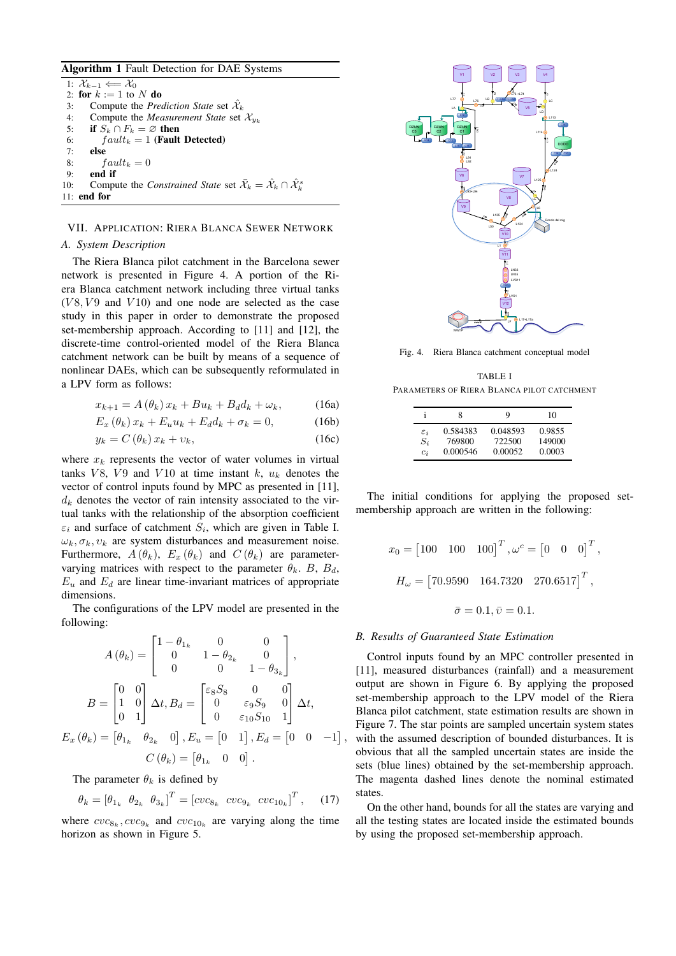# Algorithm 1 Fault Detection for DAE Systems

1:  $\mathcal{X}_{k-1} \Longleftarrow \mathcal{X}_0$ 2: for  $k := 1$  to N do 3: Compute the *Prediction State* set  $\hat{\mathcal{X}}_k$ 4: Compute the *Measurement State* set  $\mathcal{X}_{y_k}$ <br>5: **if**  $S_k \cap F_k = \emptyset$  **then** if  $S_k \cap F_k = \emptyset$  then 6:  $fault_k = 1$  (Fault Detected) 7: else 8:  $fault_k = 0$ 9: end if 10: Compute the *Constrained State* set  $\bar{\mathcal{X}}_k = \hat{\mathcal{X}}_k \cap \hat{\mathcal{X}}_k^s$ 11: end for

# VII. APPLICATION: RIERA BLANCA SEWER NETWORK

# *A. System Description*

The Riera Blanca pilot catchment in the Barcelona sewer network is presented in Figure 4. A portion of the Riera Blanca catchment network including three virtual tanks  $(V8, V9$  and  $V10$ ) and one node are selected as the case study in this paper in order to demonstrate the proposed set-membership approach. According to [11] and [12], the discrete-time control-oriented model of the Riera Blanca catchment network can be built by means of a sequence of nonlinear DAEs, which can be subsequently reformulated in a LPV form as follows:

$$
x_{k+1} = A(\theta_k) x_k + B u_k + B_d d_k + \omega_k, \qquad (16a)
$$

$$
E_x(\theta_k)x_k + E_u u_k + E_d d_k + \sigma_k = 0,
$$
 (16b)

$$
y_k = C(\theta_k) x_k + v_k, \qquad (16c)
$$

where  $x_k$  represents the vector of water volumes in virtual tanks  $V8$ ,  $V9$  and  $V10$  at time instant k,  $u_k$  denotes the vector of control inputs found by MPC as presented in [11],  $d_k$  denotes the vector of rain intensity associated to the virtual tanks with the relationship of the absorption coefficient  $\varepsilon_i$  and surface of catchment  $S_i$ , which are given in Table I.  $\omega_k$ ,  $\sigma_k$ ,  $v_k$  are system disturbances and measurement noise. Furthermore,  $A(\theta_k)$ ,  $E_x(\theta_k)$  and  $C(\theta_k)$  are parametervarying matrices with respect to the parameter  $\theta_k$ . B,  $B_d$ ,  $E_u$  and  $E_d$  are linear time-invariant matrices of appropriate dimensions.

The configurations of the LPV model are presented in the following:

$$
A(\theta_k) = \begin{bmatrix} 1 - \theta_{1_k} & 0 & 0 \\ 0 & 1 - \theta_{2_k} & 0 \\ 0 & 0 & 1 - \theta_{3_k} \end{bmatrix},
$$

$$
B = \begin{bmatrix} 0 & 0 \\ 1 & 0 \\ 0 & 1 \end{bmatrix} \Delta t, B_d = \begin{bmatrix} \varepsilon_8 S_8 & 0 & 0 \\ 0 & \varepsilon_9 S_9 & 0 \\ 0 & \varepsilon_{10} S_{10} & 1 \end{bmatrix} \Delta t,
$$

$$
E_x(\theta_k) = \begin{bmatrix} \theta_{1_k} & \theta_{2_k} & 0 \end{bmatrix}, E_u = \begin{bmatrix} 0 & 1 \end{bmatrix}, E_d = \begin{bmatrix} 0 & 0 & -1 \\ 0 & -1 \end{bmatrix}
$$

$$
C(\theta_k) = \begin{bmatrix} \theta_{1_k} & 0 & 0 \end{bmatrix}.
$$

The parameter  $\theta_k$  is defined by

$$
\theta_k = \begin{bmatrix} \theta_{1_k} & \theta_{2_k} & \theta_{3_k} \end{bmatrix}^T = \begin{bmatrix} cvc_{8_k} & cvc_{9_k} & cvc_{10_k} \end{bmatrix}^T, \quad (17)
$$

where  $cvc_{8_k}, cvc_{9_k}$  and  $cvc_{10_k}$  are varying along the time horizon as shown in Figure 5.



Fig. 4. Riera Blanca catchment conceptual model

TABLE I PARAMETERS OF RIERA BLANCA PILOT CATCHMENT

|                 | 8        | 9        | 10     |
|-----------------|----------|----------|--------|
| $\varepsilon_i$ | 0.584383 | 0.048593 | 0.9855 |
| $S_i$           | 769800   | 722500   | 149000 |
| $c_i$           | 0.000546 | 0.00052  | 0.0003 |

The initial conditions for applying the proposed setmembership approach are written in the following:

$$
x_0 = [100 \quad 100 \quad 100]^T, \omega^c = [0 \quad 0 \quad 0]^T,
$$
  

$$
H_{\omega} = [70.9590 \quad 164.7320 \quad 270.6517]^T,
$$
  

$$
\bar{\sigma} = 0.1, \bar{\upsilon} = 0.1.
$$

#### *B. Results of Guaranteed State Estimation*

 , with the assumed description of bounded disturbances. It is Control inputs found by an MPC controller presented in [11], measured disturbances (rainfall) and a measurement output are shown in Figure 6. By applying the proposed set-membership approach to the LPV model of the Riera Blanca pilot catchment, state estimation results are shown in Figure 7. The star points are sampled uncertain system states obvious that all the sampled uncertain states are inside the sets (blue lines) obtained by the set-membership approach. The magenta dashed lines denote the nominal estimated states.

On the other hand, bounds for all the states are varying and all the testing states are located inside the estimated bounds by using the proposed set-membership approach.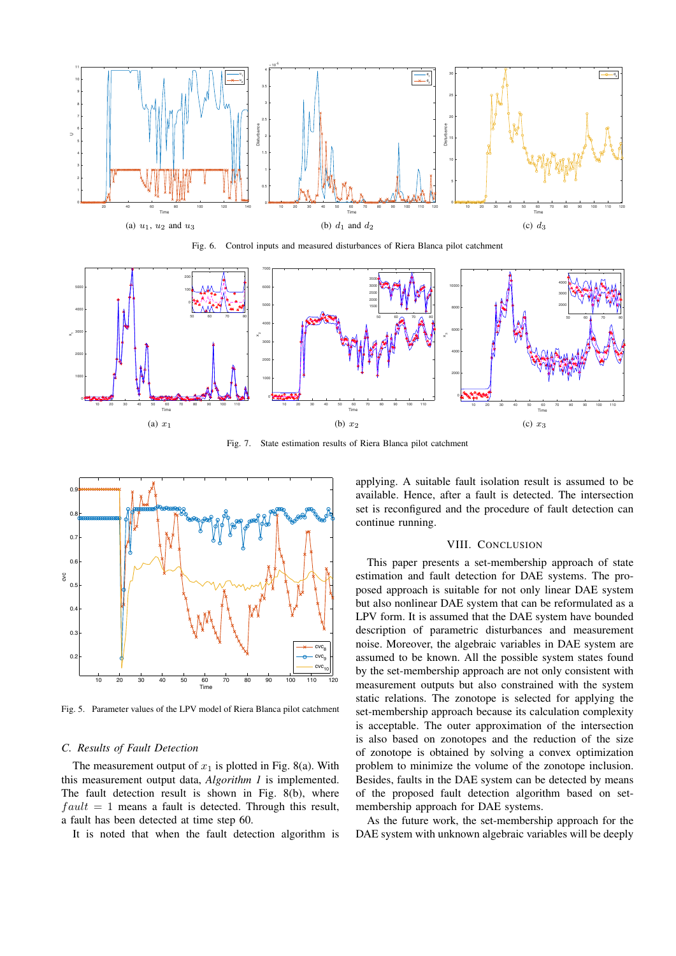

Fig. 6. Control inputs and measured disturbances of Riera Blanca pilot catchment



Fig. 7. State estimation results of Riera Blanca pilot catchment



Fig. 5. Parameter values of the LPV model of Riera Blanca pilot catchment

### *C. Results of Fault Detection*

The measurement output of  $x_1$  is plotted in Fig. 8(a). With this measurement output data, *Algorithm 1* is implemented. The fault detection result is shown in Fig. 8(b), where  $fault = 1$  means a fault is detected. Through this result, a fault has been detected at time step 60.

It is noted that when the fault detection algorithm is

applying. A suitable fault isolation result is assumed to be available. Hence, after a fault is detected. The intersection set is reconfigured and the procedure of fault detection can continue running.

## VIII. CONCLUSION

This paper presents a set-membership approach of state estimation and fault detection for DAE systems. The proposed approach is suitable for not only linear DAE system but also nonlinear DAE system that can be reformulated as a LPV form. It is assumed that the DAE system have bounded description of parametric disturbances and measurement noise. Moreover, the algebraic variables in DAE system are assumed to be known. All the possible system states found by the set-membership approach are not only consistent with measurement outputs but also constrained with the system static relations. The zonotope is selected for applying the set-membership approach because its calculation complexity is acceptable. The outer approximation of the intersection is also based on zonotopes and the reduction of the size of zonotope is obtained by solving a convex optimization problem to minimize the volume of the zonotope inclusion. Besides, faults in the DAE system can be detected by means of the proposed fault detection algorithm based on setmembership approach for DAE systems.

As the future work, the set-membership approach for the DAE system with unknown algebraic variables will be deeply